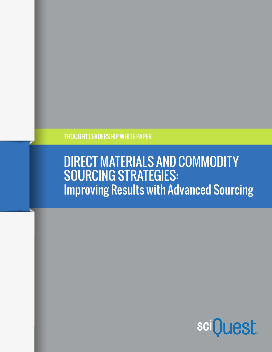THOUGHT LEADERSHIP WHITE PAPER

# DIRECT MATERIALS AND COMMODITY SOURCING STRATEGIES: Improving Results with Advanced Sourcing

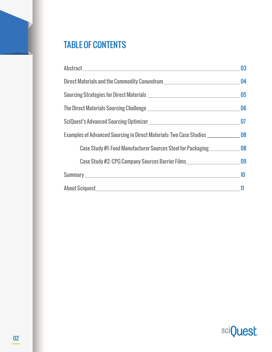## TABLE OF CONTENTS

|                                                                                                                                                                                                                                      | 03 |
|--------------------------------------------------------------------------------------------------------------------------------------------------------------------------------------------------------------------------------------|----|
| Direct Materials and the Commodity Conundrum                                                                                                                                                                                         | 04 |
|                                                                                                                                                                                                                                      | 05 |
|                                                                                                                                                                                                                                      | 06 |
|                                                                                                                                                                                                                                      | 07 |
| Examples of Advanced Sourcing in Direct Materials: Two Case Studies                                                                                                                                                                  | 08 |
| Case Study #1: Food Manufacturer Sources Steel for Packaging 68                                                                                                                                                                      |    |
| Case Study #2: CPG Company Sources Barrier Films                                                                                                                                                                                     | 09 |
| Summary <u>experience and the series of the series of the series of the series of the series of the series of the series of the series of the series of the series of the series of the series of the series of the series of th</u> | 10 |
| About Sciquest New York and Science About Science About Science About 1978                                                                                                                                                           | 11 |

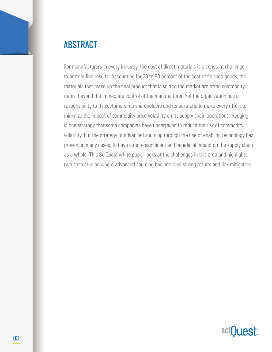

For manufacturers in every industry, the cost of direct materials is a constant challenge to bottom-line results. Accounting for 20 to 80 percent of the cost of finished goods, the materials that make up the final product that is sold to the market are often commodity items, beyond the immediate control of the manufacturer. Yet the organization has a responsibility to its customers, its shareholders and its partners, to make every effort to minimize the impact of commodity price volatility on its supply chain operations. Hedging is one strategy that some companies have undertaken to reduce the risk of commodity volatility, but the strategy of advanced sourcing through the use of enabling technology has proven, in many cases, to have a more significant and beneficial impact on the supply chain as a whole. This SciQuest white paper looks at the challenges in this area and highlights two case studies where advanced sourcing has provided strong results and risk mitigation.

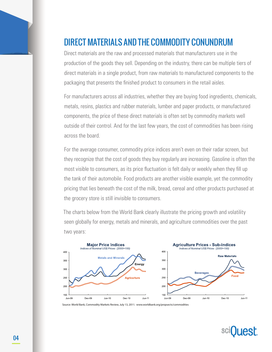### DIRECT MATERIALS AND THE COMMODITY CONUNDRUM

Direct materials are the raw and processed materials that manufacturers use in the production of the goods they sell. Depending on the industry, there can be multiple tiers of direct materials in a single product, from raw materials to manufactured components to the packaging that presents the finished product to consumers in the retail aisles.

For manufacturers across all industries, whether they are buying food ingredients, chemicals, metals, resins, plastics and rubber materials, lumber and paper products, or manufactured components, the price of these direct materials is often set by commodity markets well outside of their control. And for the last few years, the cost of commodities has been rising across the board.

For the average consumer, commodity price indices aren't even on their radar screen, but they recognize that the cost of goods they buy regularly are increasing. Gasoline is often the most visible to consumers, as its price fluctuation is felt daily or weekly when they fill up the tank of their automobile. Food products are another visible example, yet the commodity pricing that lies beneath the cost of the milk, bread, cereal and other products purchased at the grocery store is still invisible to consumers.

The charts below from the World Bank clearly illustrate the pricing growth and volatility seen globally for energy, metals and minerals, and agriculture commodities over the past two years:



Source: World Bank, Commodity Markets Review, July 13, 2011. www.worldbank.org/propsects/commodities

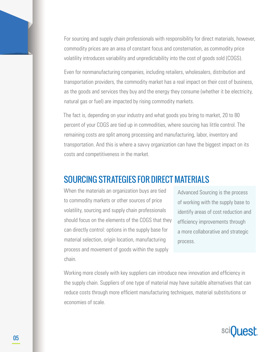For sourcing and supply chain professionals with responsibility for direct materials, however, commodity prices are an area of constant focus and consternation, as commodity price volatility introduces variability and unpredictability into the cost of goods sold (COGS).

Even for nonmanufacturing companies, including retailers, wholesalers, distribution and transportation providers, the commodity market has a real impact on their cost of business, as the goods and services they buy and the energy they consume (whether it be electricity, natural gas or fuel) are impacted by rising commodity markets.

The fact is, depending on your industry and what goods you bring to market, 20 to 80 percent of your COGS are tied up in commodities, where sourcing has little control. The remaining costs are split among processing and manufacturing, labor, inventory and transportation. And this is where a savvy organization can have the biggest impact on its costs and competitiveness in the market.

#### SOURCING STRATEGIES FOR DIRECT MATERIALS

When the materials an organization buys are tied to commodity markets or other sources of price volatility, sourcing and supply chain professionals should focus on the elements of the COGS that they can directly control: options in the supply base for material selection, origin location, manufacturing process and movement of goods within the supply chain.

Advanced Sourcing is the process of working with the supply base to identify areas of cost reduction and efficiency improvements through a more collaborative and strategic process.

Working more closely with key suppliers can introduce new innovation and efficiency in the supply chain. Suppliers of one type of material may have suitable alternatives that can reduce costs through more efficient manufacturing techniques, material substitutions or economies of scale.

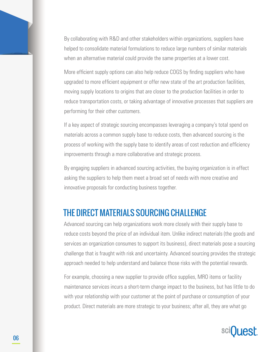By collaborating with R&D and other stakeholders within organizations, suppliers have helped to consolidate material formulations to reduce large numbers of similar materials when an alternative material could provide the same properties at a lower cost.

More efficient supply options can also help reduce COGS by finding suppliers who have upgraded to more efficient equipment or offer new state of the art production facilities, moving supply locations to origins that are closer to the production facilities in order to reduce transportation costs, or taking advantage of innovative processes that suppliers are performing for their other customers.

If a key aspect of strategic sourcing encompasses leveraging a company's total spend on materials across a common supply base to reduce costs, then advanced sourcing is the process of working with the supply base to identify areas of cost reduction and efficiency improvements through a more collaborative and strategic process.

By engaging suppliers in advanced sourcing activities, the buying organization is in effect asking the suppliers to help them meet a broad set of needs with more creative and innovative proposals for conducting business together.

### THE DIRECT MATERIALS SOURCING CHALLENGE

Advanced sourcing can help organizations work more closely with their supply base to reduce costs beyond the price of an individual item. Unlike indirect materials (the goods and services an organization consumes to support its business), direct materials pose a sourcing challenge that is fraught with risk and uncertainty. Advanced sourcing provides the strategic approach needed to help understand and balance those risks with the potential rewards.

For example, choosing a new supplier to provide office supplies, MRO items or facility maintenance services incurs a short-term change impact to the business, but has little to do with your relationship with your customer at the point of purchase or consumption of your product. Direct materials are more strategic to your business; after all, they are what go

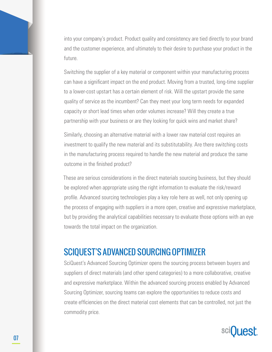into your company's product. Product quality and consistency are tied directly to your brand and the customer experience, and ultimately to their desire to purchase your product in the future.

Switching the supplier of a key material or component within your manufacturing process can have a significant impact on the end product. Moving from a trusted, long-time supplier to a lower-cost upstart has a certain element of risk. Will the upstart provide the same quality of service as the incumbent? Can they meet your long term needs for expanded capacity or short lead times when order volumes increase? Will they create a true partnership with your business or are they looking for quick wins and market share?

Similarly, choosing an alternative material with a lower raw material cost requires an investment to qualify the new material and its substitutability. Are there switching costs in the manufacturing process required to handle the new material and produce the same outcome in the finished product?

These are serious considerations in the direct materials sourcing business, but they should be explored when appropriate using the right information to evaluate the risk/reward profile. Advanced sourcing technologies play a key role here as well, not only opening up the process of engaging with suppliers in a more open, creative and expressive marketplace, but by providing the analytical capabilities necessary to evaluate those options with an eye towards the total impact on the organization.

#### SCIQUEST'S ADVANCED SOURCING OPTIMIZER

SciQuest's Advanced Sourcing Optimizer opens the sourcing process between buyers and suppliers of direct materials (and other spend categories) to a more collaborative, creative and expressive marketplace. Within the advanced sourcing process enabled by Advanced Sourcing Optimizer, sourcing teams can explore the opportunities to reduce costs and create efficiencies on the direct material cost elements that can be controlled, not just the commodity price.

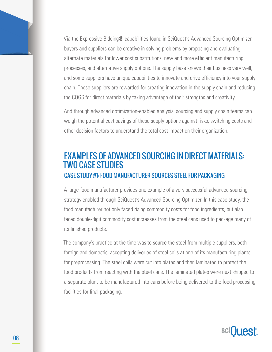Via the Expressive Bidding® capabilities found in SciQuest's Advanced Sourcing Optimizer, buyers and suppliers can be creative in solving problems by proposing and evaluating alternate materials for lower cost substitutions, new and more efficient manufacturing processes, and alternative supply options. The supply base knows their business very well, and some suppliers have unique capabilities to innovate and drive efficiency into your supply chain. Those suppliers are rewarded for creating innovation in the supply chain and reducing the COGS for direct materials by taking advantage of their strengths and creativity.

And through advanced optimization-enabled analysis, sourcing and supply chain teams can weigh the potential cost savings of these supply options against risks, switching costs and other decision factors to understand the total cost impact on their organization.

#### EXAMPLES OF ADVANCED SOURCING IN DIRECT MATERIALS: TWO CASE STUDIES CASE STUDY #1: FOOD MANUFACTURER SOURCES STEEL FOR PACKAGING

A large food manufacturer provides one example of a very successful advanced sourcing strategy enabled through SciQuest's Advanced Sourcing Optimizer. In this case study, the food manufacturer not only faced rising commodity costs for food ingredients, but also faced double-digit commodity cost increases from the steel cans used to package many of its finished products.

The company's practice at the time was to source the steel from multiple suppliers, both foreign and domestic, accepting deliveries of steel coils at one of its manufacturing plants for preprocessing. The steel coils were cut into plates and then laminated to protect the food products from reacting with the steel cans. The laminated plates were next shipped to a separate plant to be manufactured into cans before being delivered to the food processing facilities for final packaging.

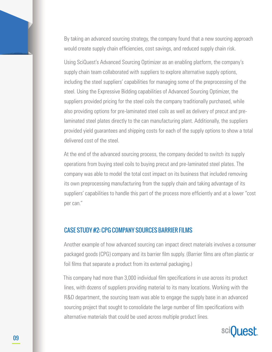By taking an advanced sourcing strategy, the company found that a new sourcing approach would create supply chain efficiencies, cost savings, and reduced supply chain risk.

Using SciQuest's Advanced Sourcing Optimizer as an enabling platform, the company's supply chain team collaborated with suppliers to explore alternative supply options, including the steel suppliers' capabilities for managing some of the preprocessing of the steel. Using the Expressive Bidding capabilities of Advanced Sourcing Optimizer, the suppliers provided pricing for the steel coils the company traditionally purchased, while also providing options for pre-laminated steel coils as well as delivery of precut and prelaminated steel plates directly to the can manufacturing plant. Additionally, the suppliers provided yield guarantees and shipping costs for each of the supply options to show a total delivered cost of the steel.

At the end of the advanced sourcing process, the company decided to switch its supply operations from buying steel coils to buying precut and pre-laminated steel plates. The company was able to model the total cost impact on its business that included removing its own preprocessing manufacturing from the supply chain and taking advantage of its suppliers' capabilities to handle this part of the process more efficiently and at a lower "cost per can."

#### CASE STUDY #2: CPG COMPANY SOURCES BARRIER FILMS

Another example of how advanced sourcing can impact direct materials involves a consumer packaged goods (CPG) company and its barrier film supply. (Barrier films are often plastic or foil films that separate a product from its external packaging.)

This company had more than 3,000 individual film specifications in use across its product lines, with dozens of suppliers providing material to its many locations. Working with the R&D department, the sourcing team was able to engage the supply base in an advanced sourcing project that sought to consolidate the large number of film specifications with alternative materials that could be used across multiple product lines.

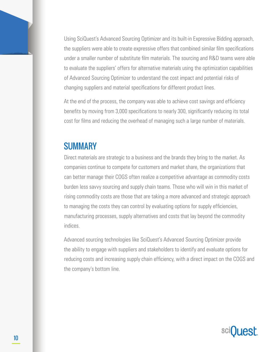Using SciQuest's Advanced Sourcing Optimizer and its built-in Expressive Bidding approach, the suppliers were able to create expressive offers that combined similar film specifications under a smaller number of substitute film materials. The sourcing and R&D teams were able to evaluate the suppliers' offers for alternative materials using the optimization capabilities of Advanced Sourcing Optimizer to understand the cost impact and potential risks of changing suppliers and material specifications for different product lines.

At the end of the process, the company was able to achieve cost savings and efficiency benefits by moving from 3,000 specifications to nearly 300, significantly reducing its total cost for films and reducing the overhead of managing such a large number of materials.

#### **SUMMARY**

Direct materials are strategic to a business and the brands they bring to the market. As companies continue to compete for customers and market share, the organizations that can better manage their COGS often realize a competitive advantage as commodity costs burden less savvy sourcing and supply chain teams. Those who will win in this market of rising commodity costs are those that are taking a more advanced and strategic approach to managing the costs they can control by evaluating options for supply efficiencies, manufacturing processes, supply alternatives and costs that lay beyond the commodity indices.

Advanced sourcing technologies like SciQuest's Advanced Sourcing Optimizer provide the ability to engage with suppliers and stakeholders to identify and evaluate options for reducing costs and increasing supply chain efficiency, with a direct impact on the COGS and the company's bottom line.